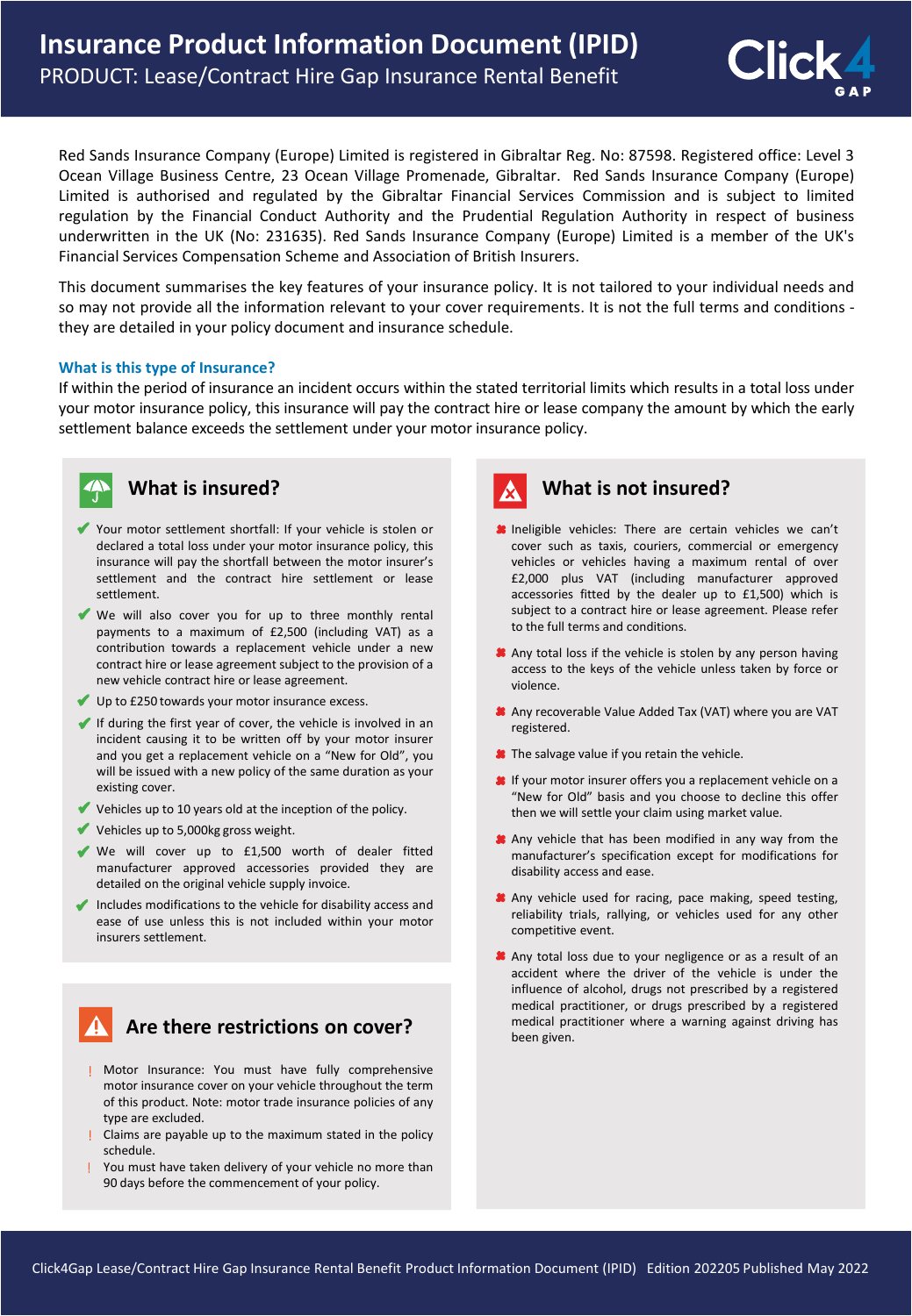

Red Sands Insurance Company (Europe) Limited is registered in Gibraltar Reg. No: 87598. Registered office: Level 3 Ocean Village Business Centre, 23 Ocean Village Promenade, Gibraltar. Red Sands Insurance Company (Europe) Limited is authorised and regulated by the Gibraltar Financial Services Commission and is subject to limited regulation by the Financial Conduct Authority and the Prudential Regulation Authority in respect of business underwritten in the UK (No: 231635). Red Sands Insurance Company (Europe) Limited is a member of the UK's Financial Services Compensation Scheme and Association of British Insurers.

This document summarises the key features of your insurance policy. It is not tailored to your individual needs and so may not provide all the information relevant to your cover requirements. It is not the full terms and conditions they are detailed in your policy document and insurance schedule.

#### **What is this type of Insurance?**

If within the period of insurance an incident occurs within the stated territorial limits which results in a total loss under your motor insurance policy, this insurance will pay the contract hire or lease company the amount by which the early settlement balance exceeds the settlement under your motor insurance policy.



#### **What is insured?**

- Your motor settlement shortfall: If your vehicle is stolen or declared a total loss under your motor insurance policy, this insurance will pay the shortfall between the motor insurer's settlement and the contract hire settlement or lease settlement.
- We will also cover you for up to three monthly rental payments to a maximum of £2,500 (including VAT) as a contribution towards a replacement vehicle under a new contract hire or lease agreement subject to the provision of a new vehicle contract hire or lease agreement.
- Up to £250 towards your motor insurance excess.
- If during the first year of cover, the vehicle is involved in an incident causing it to be written off by your motor insurer and you get a replacement vehicle on a "New for Old", you will be issued with a new policy of the same duration as your existing cover.
- Vehicles up to 10 years old at the inception of the policy.
- Vehicles up to 5,000kg gross weight.
- We will cover up to £1,500 worth of dealer fitted manufacturer approved accessories provided they are detailed on the original vehicle supply invoice.
- $\blacktriangleright$  Includes modifications to the vehicle for disability access and ease of use unless this is not included within your motor insurers settlement.

## **Are there restrictions on cover?**

- Motor Insurance: You must have fully comprehensive motor insurance cover on your vehicle throughout the term of this product. Note: motor trade insurance policies of any type are excluded.
- Claims are payable up to the maximum stated in the policy schedule.
- You must have taken delivery of your vehicle no more than 90 days before the commencement of your policy.



#### **What is not insured?**

- **Ineligible vehicles:** There are certain vehicles we can't cover such as taxis, couriers, commercial or emergency vehicles or vehicles having a maximum rental of over £2,000 plus VAT (including manufacturer approved accessories fitted by the dealer up to £1,500) which is subject to a contract hire or lease agreement. Please refer to the full terms and conditions.
- **A** Any total loss if the vehicle is stolen by any person having access to the keys of the vehicle unless taken by force or violence.
- Any recoverable Value Added Tax (VAT) where you are VAT registered.
- **\*** The salvage value if you retain the vehicle.
- **If** your motor insurer offers you a replacement vehicle on a "New for Old" basis and you choose to decline this offer then we will settle your claim using market value.
- Any vehicle that has been modified in any way from the manufacturer's specification except for modifications for disability access and ease.
- Any vehicle used for racing, pace making, speed testing, reliability trials, rallying, or vehicles used for any other competitive event.
- Any total loss due to your negligence or as a result of an accident where the driver of the vehicle is under the influence of alcohol, drugs not prescribed by a registered medical practitioner, or drugs prescribed by a registered medical practitioner where a warning against driving has been given.